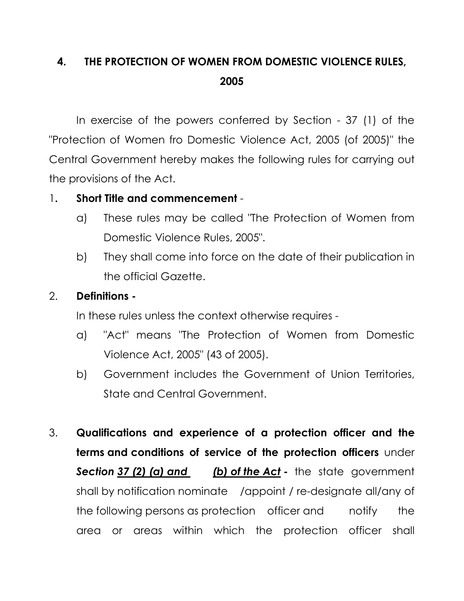## 4. THE PROTECTION OF WOMEN FROM DOMESTIC VIOLENCE RULES, 2005

 In exercise of the powers conferred by Section - 37 (1) of the "Protection of Women fro Domestic Violence Act, 2005 (of 2005)" the Central Government hereby makes the following rules for carrying out the provisions of the Act.

## 1. Short Title and commencement -

- a) These rules may be called "The Protection of Women from Domestic Violence Rules, 2005".
- b) They shall come into force on the date of their publication in the official Gazette.

## 2. Definitions -

In these rules unless the context otherwise requires -

- a) "Act" means "The Protection of Women from Domestic Violence Act, 2005" (43 of 2005).
- b) Government includes the Government of Union Territories, State and Central Government.
- 3. Qualifications and experience of a protection officer and the terms and conditions of service of the protection officers under Section 37 (2) (a) and (b) of the Act - the state government shall by notification nominate /appoint / re-designate all/any of the following persons as protection officer and notify the area or areas within which the protection officer shall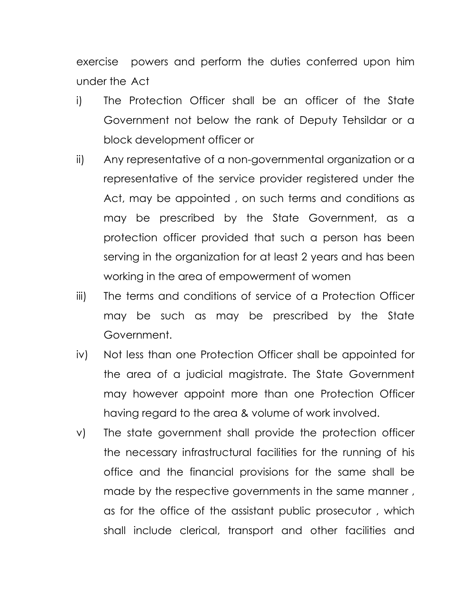exercise powers and perform the duties conferred upon him under the Act

- i) The Protection Officer shall be an officer of the State Government not below the rank of Deputy Tehsildar or a block development officer or
- ii) Any representative of a non-governmental organization or a representative of the service provider registered under the Act, may be appointed , on such terms and conditions as may be prescribed by the State Government, as a protection officer provided that such a person has been serving in the organization for at least 2 years and has been working in the area of empowerment of women
- iii) The terms and conditions of service of a Protection Officer may be such as may be prescribed by the State Government.
- iv) Not less than one Protection Officer shall be appointed for the area of a judicial magistrate. The State Government may however appoint more than one Protection Officer having regard to the area & volume of work involved.
- v) The state government shall provide the protection officer the necessary infrastructural facilities for the running of his office and the financial provisions for the same shall be made by the respective governments in the same manner , as for the office of the assistant public prosecutor , which shall include clerical, transport and other facilities and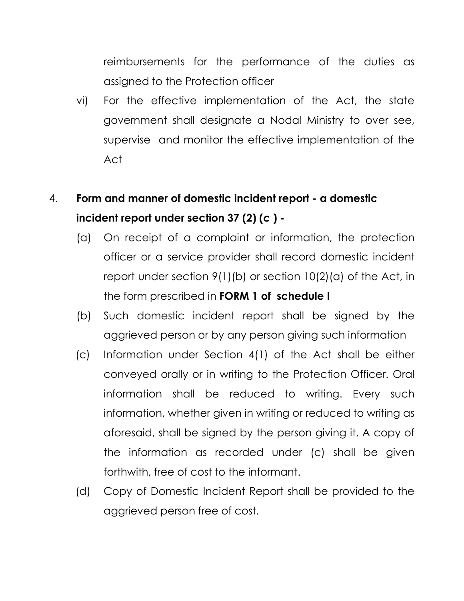reimbursements for the performance of the duties as assigned to the Protection officer

vi) For the effective implementation of the Act, the state government shall designate a Nodal Ministry to over see, supervise and monitor the effective implementation of the Act

# 4. Form and manner of domestic incident report - a domestic incident report under section 37 (2) (c ) -

- (a) On receipt of a complaint or information, the protection officer or a service provider shall record domestic incident report under section 9(1)(b) or section 10(2)(a) of the Act, in the form prescribed in FORM 1 of schedule I
- (b) Such domestic incident report shall be signed by the aggrieved person or by any person giving such information
- (c) Information under Section 4(1) of the Act shall be either conveyed orally or in writing to the Protection Officer. Oral information shall be reduced to writing. Every such information, whether given in writing or reduced to writing as aforesaid, shall be signed by the person giving it. A copy of the information as recorded under (c) shall be given forthwith, free of cost to the informant.
- (d) Copy of Domestic Incident Report shall be provided to the aggrieved person free of cost.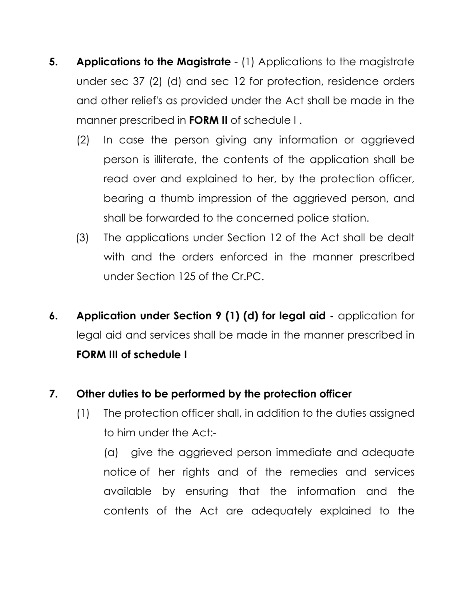- **5.** Applications to the Magistrate (1) Applications to the magistrate under sec 37 (2) (d) and sec 12 for protection, residence orders and other relief's as provided under the Act shall be made in the manner prescribed in FORM II of schedule I .
	- (2) In case the person giving any information or aggrieved person is illiterate, the contents of the application shall be read over and explained to her, by the protection officer, bearing a thumb impression of the aggrieved person, and shall be forwarded to the concerned police station.
	- (3) The applications under Section 12 of the Act shall be dealt with and the orders enforced in the manner prescribed under Section 125 of the Cr.PC.
- 6. Application under Section 9 (1) (d) for legal aid application for legal aid and services shall be made in the manner prescribed in FORM III of schedule I

## 7. Other duties to be performed by the protection officer

(1) The protection officer shall, in addition to the duties assigned to him under the Act:-

 (a) give the aggrieved person immediate and adequate notice of her rights and of the remedies and services available by ensuring that the information and the contents of the Act are adequately explained to the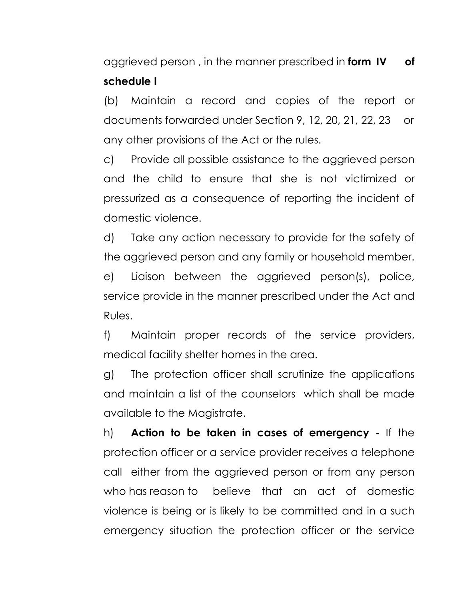aggrieved person, in the manner prescribed in form IV of schedule I

 (b) Maintain a record and copies of the report or documents forwarded under Section 9, 12, 20, 21, 22, 23 or any other provisions of the Act or the rules.

c) Provide all possible assistance to the aggrieved person and the child to ensure that she is not victimized or pressurized as a consequence of reporting the incident of domestic violence.

d) Take any action necessary to provide for the safety of the aggrieved person and any family or household member.

e) Liaison between the aggrieved person(s), police, service provide in the manner prescribed under the Act and Rules.

f) Maintain proper records of the service providers, medical facility shelter homes in the area.

g) The protection officer shall scrutinize the applications and maintain a list of the counselors which shall be made available to the Magistrate.

h) Action to be taken in cases of emergency - If the protection officer or a service provider receives a telephone call either from the aggrieved person or from any person who has reason to believe that an act of domestic violence is being or is likely to be committed and in a such emergency situation the protection officer or the service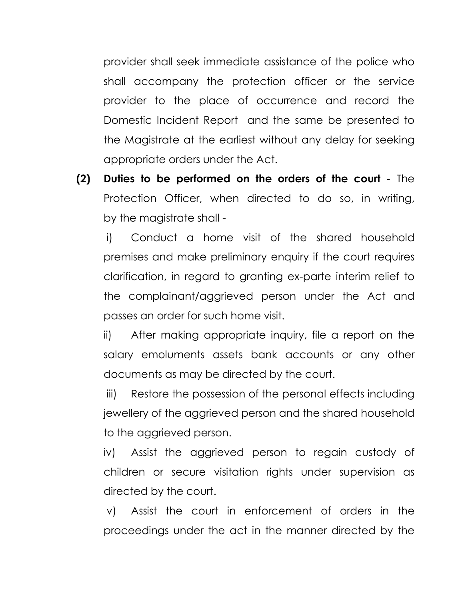provider shall seek immediate assistance of the police who shall accompany the protection officer or the service provider to the place of occurrence and record the Domestic Incident Report and the same be presented to the Magistrate at the earliest without any delay for seeking appropriate orders under the Act.

(2) Duties to be performed on the orders of the court - The Protection Officer, when directed to do so, in writing, by the magistrate shall -

 i) Conduct a home visit of the shared household premises and make preliminary enquiry if the court requires clarification, in regard to granting ex-parte interim relief to the complainant/aggrieved person under the Act and passes an order for such home visit.

 ii) After making appropriate inquiry, file a report on the salary emoluments assets bank accounts or any other documents as may be directed by the court.

 iii) Restore the possession of the personal effects including jewellery of the aggrieved person and the shared household to the aggrieved person.

 iv) Assist the aggrieved person to regain custody of children or secure visitation rights under supervision as directed by the court.

 v) Assist the court in enforcement of orders in the proceedings under the act in the manner directed by the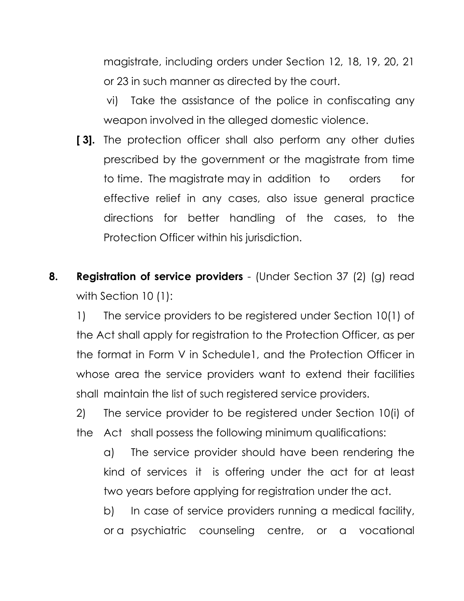magistrate, including orders under Section 12, 18, 19, 20, 21 or 23 in such manner as directed by the court.

 vi) Take the assistance of the police in confiscating any weapon involved in the alleged domestic violence.

- [3]. The protection officer shall also perform any other duties prescribed by the government or the magistrate from time to time. The magistrate may in addition to orders for effective relief in any cases, also issue general practice directions for better handling of the cases, to the Protection Officer within his jurisdiction.
- 8. Registration of service providers (Under Section 37 (2) (g) read with Section 10 (1):

 1) The service providers to be registered under Section 10(1) of the Act shall apply for registration to the Protection Officer, as per the format in Form V in Schedule1, and the Protection Officer in whose area the service providers want to extend their facilities shall maintain the list of such registered service providers.

 2) The service provider to be registered under Section 10(i) of the Act shall possess the following minimum qualifications:

 a) The service provider should have been rendering the kind of services it is offering under the act for at least two years before applying for registration under the act.

 b) In case of service providers running a medical facility, or a psychiatric counseling centre, or a vocational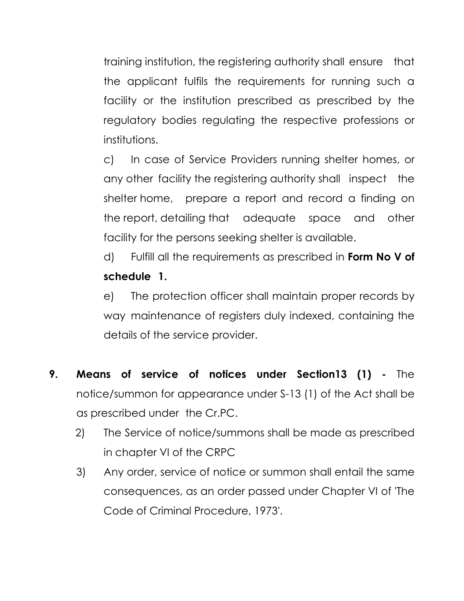training institution, the registering authority shall ensure that the applicant fulfils the requirements for running such a facility or the institution prescribed as prescribed by the regulatory bodies regulating the respective professions or institutions.

 c) In case of Service Providers running shelter homes, or any other facility the registering authority shall inspect the shelter home, prepare a report and record a finding on the report, detailing that adequate space and other facility for the persons seeking shelter is available.

d) Fulfill all the requirements as prescribed in Form No V of schedule 1.

 e) The protection officer shall maintain proper records by way maintenance of registers duly indexed, containing the details of the service provider.

- 9. Means of service of notices under Section13 (1) The notice/summon for appearance under S-13 (1) of the Act shall be as prescribed under the Cr.PC.
	- 2) The Service of notice/summons shall be made as prescribed in chapter VI of the CRPC
	- 3) Any order, service of notice or summon shall entail the same consequences, as an order passed under Chapter VI of 'The Code of Criminal Procedure, 1973'.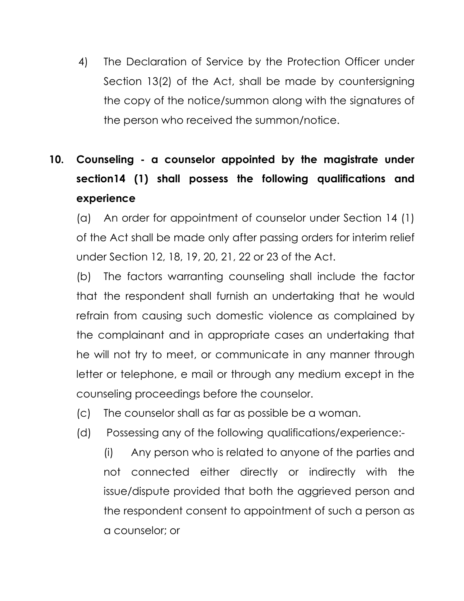4) The Declaration of Service by the Protection Officer under Section 13(2) of the Act, shall be made by countersigning the copy of the notice/summon along with the signatures of the person who received the summon/notice.

# 10. Counseling - a counselor appointed by the magistrate under section14 (1) shall possess the following qualifications and experience

 (a) An order for appointment of counselor under Section 14 (1) of the Act shall be made only after passing orders for interim relief under Section 12, 18, 19, 20, 21, 22 or 23 of the Act.

 (b) The factors warranting counseling shall include the factor that the respondent shall furnish an undertaking that he would refrain from causing such domestic violence as complained by the complainant and in appropriate cases an undertaking that he will not try to meet, or communicate in any manner through letter or telephone, e mail or through any medium except in the counseling proceedings before the counselor.

- (c) The counselor shall as far as possible be a woman.
- (d) Possessing any of the following qualifications/experience:-

 (i) Any person who is related to anyone of the parties and not connected either directly or indirectly with the issue/dispute provided that both the aggrieved person and the respondent consent to appointment of such a person as a counselor; or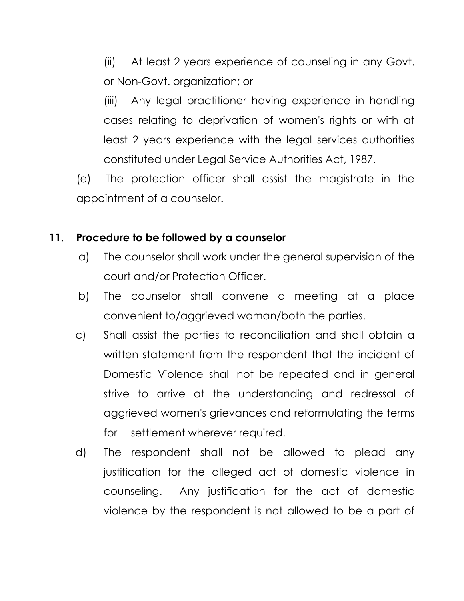(ii) At least 2 years experience of counseling in any Govt. or Non-Govt. organization; or

 (iii) Any legal practitioner having experience in handling cases relating to deprivation of women's rights or with at least 2 years experience with the legal services authorities constituted under Legal Service Authorities Act, 1987.

(e) The protection officer shall assist the magistrate in the appointment of a counselor.

## 11. Procedure to be followed by a counselor

- a) The counselor shall work under the general supervision of the court and/or Protection Officer.
- b) The counselor shall convene a meeting at a place convenient to/aggrieved woman/both the parties.
- c) Shall assist the parties to reconciliation and shall obtain a written statement from the respondent that the incident of Domestic Violence shall not be repeated and in general strive to arrive at the understanding and redressal of aggrieved women's grievances and reformulating the terms for settlement wherever required.
- d) The respondent shall not be allowed to plead any justification for the alleged act of domestic violence in counseling. Any justification for the act of domestic violence by the respondent is not allowed to be a part of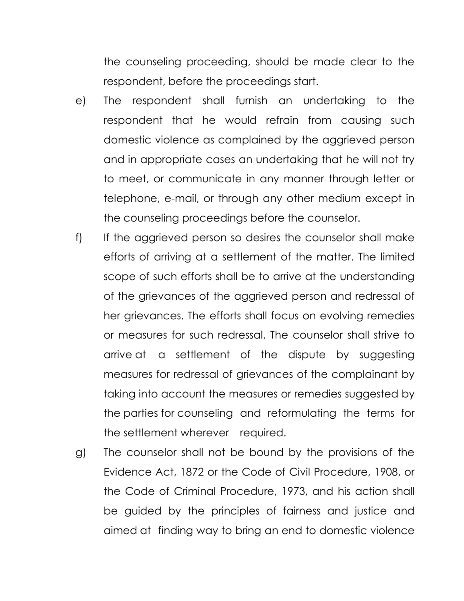the counseling proceeding, should be made clear to the respondent, before the proceedings start.

- e) The respondent shall furnish an undertaking to the respondent that he would refrain from causing such domestic violence as complained by the aggrieved person and in appropriate cases an undertaking that he will not try to meet, or communicate in any manner through letter or telephone, e-mail, or through any other medium except in the counseling proceedings before the counselor.
- f) If the aggrieved person so desires the counselor shall make efforts of arriving at a settlement of the matter. The limited scope of such efforts shall be to arrive at the understanding of the grievances of the aggrieved person and redressal of her grievances. The efforts shall focus on evolving remedies or measures for such redressal. The counselor shall strive to arrive at a settlement of the dispute by suggesting measures for redressal of grievances of the complainant by taking into account the measures or remedies suggested by the parties for counseling and reformulating the terms for the settlement wherever required.
- g) The counselor shall not be bound by the provisions of the Evidence Act, 1872 or the Code of Civil Procedure, 1908, or the Code of Criminal Procedure, 1973, and his action shall be guided by the principles of fairness and justice and aimed at finding way to bring an end to domestic violence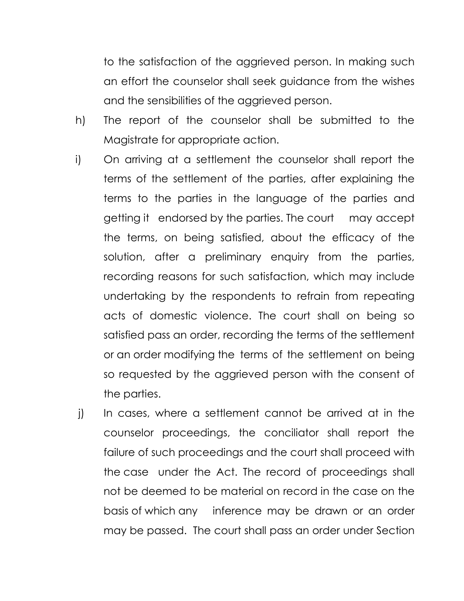to the satisfaction of the aggrieved person. In making such an effort the counselor shall seek guidance from the wishes and the sensibilities of the aggrieved person.

- h) The report of the counselor shall be submitted to the Magistrate for appropriate action.
- i) On arriving at a settlement the counselor shall report the terms of the settlement of the parties, after explaining the terms to the parties in the language of the parties and getting it endorsed by the parties. The court may accept the terms, on being satisfied, about the efficacy of the solution, after a preliminary enquiry from the parties, recording reasons for such satisfaction, which may include undertaking by the respondents to refrain from repeating acts of domestic violence. The court shall on being so satisfied pass an order, recording the terms of the settlement or an order modifying the terms of the settlement on being so requested by the aggrieved person with the consent of the parties.
- j) In cases, where a settlement cannot be arrived at in the counselor proceedings, the conciliator shall report the failure of such proceedings and the court shall proceed with the case under the Act. The record of proceedings shall not be deemed to be material on record in the case on the basis of which any inference may be drawn or an order may be passed. The court shall pass an order under Section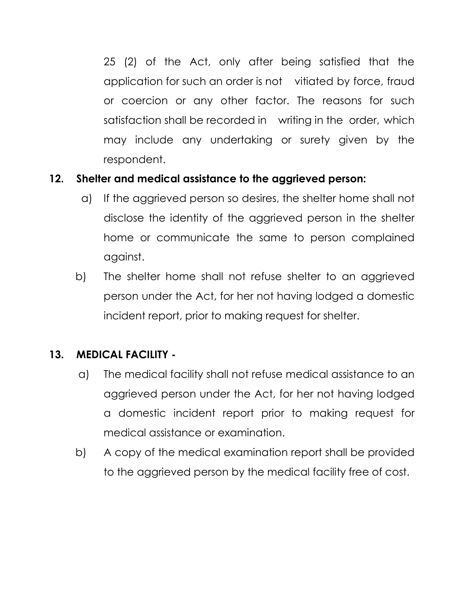25 (2) of the Act, only after being satisfied that the application for such an order is not vitiated by force, fraud or coercion or any other factor. The reasons for such satisfaction shall be recorded in writing in the order, which may include any undertaking or surety given by the respondent.

## 12. Shelter and medical assistance to the aggrieved person:

- a) If the aggrieved person so desires, the shelter home shall not disclose the identity of the aggrieved person in the shelter home or communicate the same to person complained against.
- b) The shelter home shall not refuse shelter to an aggrieved person under the Act, for her not having lodged a domestic incident report, prior to making request for shelter.

## 13. MEDICAL FACILITY -

- a) The medical facility shall not refuse medical assistance to an aggrieved person under the Act, for her not having lodged a domestic incident report prior to making request for medical assistance or examination.
- b) A copy of the medical examination report shall be provided to the aggrieved person by the medical facility free of cost.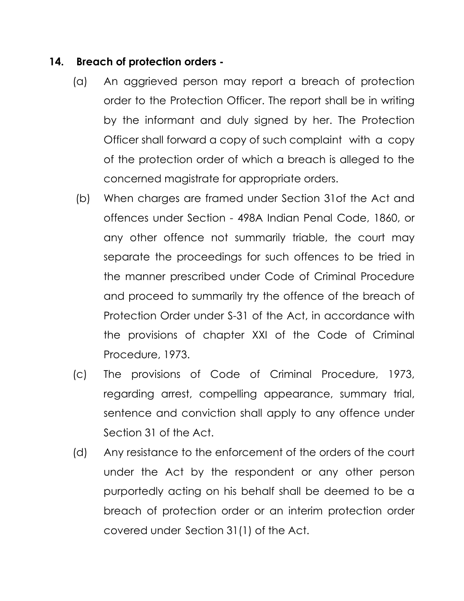## 14. Breach of protection orders -

- (a) An aggrieved person may report a breach of protection order to the Protection Officer. The report shall be in writing by the informant and duly signed by her. The Protection Officer shall forward a copy of such complaint with a copy of the protection order of which a breach is alleged to the concerned magistrate for appropriate orders.
- (b) When charges are framed under Section 31of the Act and offences under Section - 498A Indian Penal Code, 1860, or any other offence not summarily triable, the court may separate the proceedings for such offences to be tried in the manner prescribed under Code of Criminal Procedure and proceed to summarily try the offence of the breach of Protection Order under S-31 of the Act, in accordance with the provisions of chapter XXI of the Code of Criminal Procedure, 1973.
- (c) The provisions of Code of Criminal Procedure, 1973, regarding arrest, compelling appearance, summary trial, sentence and conviction shall apply to any offence under Section 31 of the Act.
- (d) Any resistance to the enforcement of the orders of the court under the Act by the respondent or any other person purportedly acting on his behalf shall be deemed to be a breach of protection order or an interim protection order covered under Section 31(1) of the Act.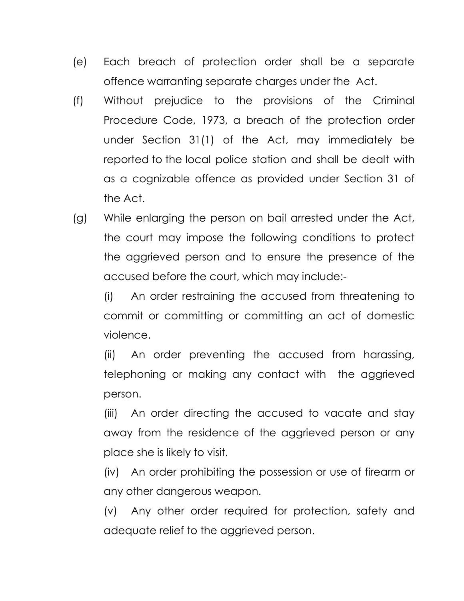- (e) Each breach of protection order shall be a separate offence warranting separate charges under the Act.
- (f) Without prejudice to the provisions of the Criminal Procedure Code, 1973, a breach of the protection order under Section 31(1) of the Act, may immediately be reported to the local police station and shall be dealt with as a cognizable offence as provided under Section 31 of the Act.
- (g) While enlarging the person on bail arrested under the Act, the court may impose the following conditions to protect the aggrieved person and to ensure the presence of the accused before the court, which may include:-

 (i) An order restraining the accused from threatening to commit or committing or committing an act of domestic violence.

 (ii) An order preventing the accused from harassing, telephoning or making any contact with the aggrieved person.

(iii) An order directing the accused to vacate and stay away from the residence of the aggrieved person or any place she is likely to visit.

(iv) An order prohibiting the possession or use of firearm or any other dangerous weapon.

(v) Any other order required for protection, safety and adequate relief to the aggrieved person.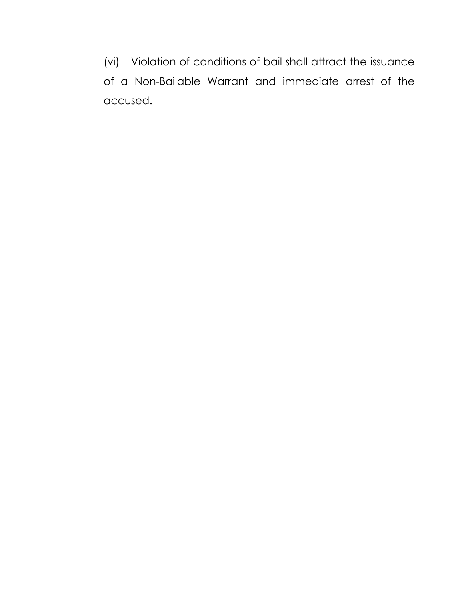(vi) Violation of conditions of bail shall attract the issuance of a Non-Bailable Warrant and immediate arrest of the accused.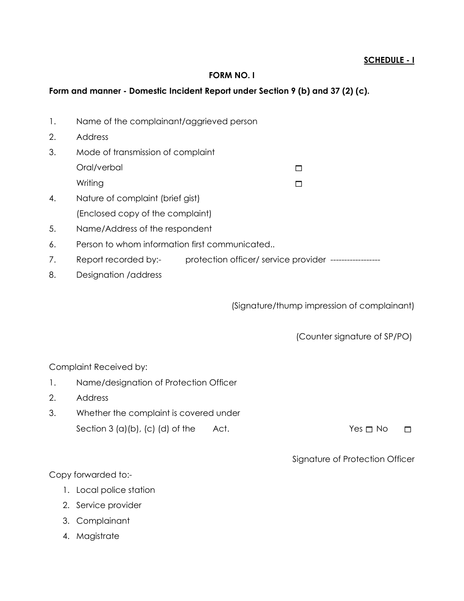#### FORM NO. I

#### Form and manner - Domestic Incident Report under Section 9 (b) and 37 (2) (c).

- 1. Name of the complainant/aggrieved person
- 2. Address
- 3. Mode of transmission of complaint
	- Oral/verbal and the contract of the contract of  $\Box$

Writing **Example 2018** 

- 4. Nature of complaint (brief gist) (Enclosed copy of the complaint)
- 5. Name/Address of the respondent
- 6. Person to whom information first communicated..
- 7. Report recorded by:- protection officer/ service provider -------------------
- 8. Designation /address

(Signature/thump impression of complainant)

(Counter signature of SP/PO)

Complaint Received by:

- 1. Name/designation of Protection Officer
- 2. Address
- 3. Whether the complaint is covered under Section 3 (a)(b), (c) (d) of the Act.  $Yes \Box No \Box$

Signature of Protection Officer

Copy forwarded to:-

- 1. Local police station
- 2. Service provider
- 3. Complainant
- 4. Magistrate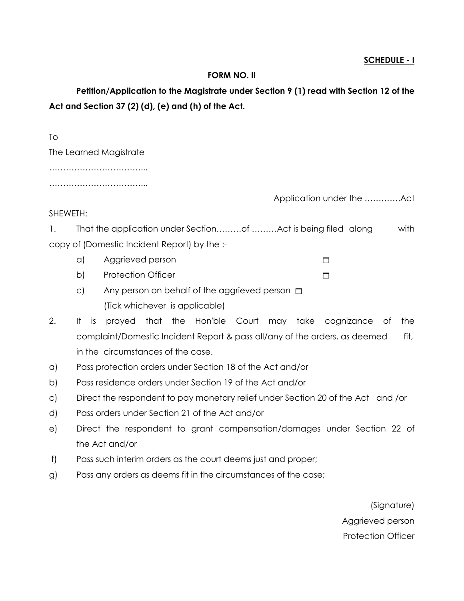#### FORM NO. II

 Petition/Application to the Magistrate under Section 9 (1) read with Section 12 of the Act and Section 37 (2) (d), (e) and (h) of the Act.

| Тo                     |                           |
|------------------------|---------------------------|
| The Learned Magistrate |                           |
|                        |                           |
|                        |                           |
|                        | Application under the Act |
| SHEWETH:               |                           |

1. That the application under Section.........of ........Act is being filed along with copy of (Domestic Incident Report) by the :-

- a) Aggrieved person
- b) Protection Officer
- c) Any person on behalf of the aggrieved person  $\square$ (Tick whichever is applicable)
- 2. It is prayed that the Hon'ble Court may take cognizance of the complaint/Domestic Incident Report & pass all/any of the orders, as deemed fit, in the circumstances of the case.
- a) Pass protection orders under Section 18 of the Act and/or
- b) Pass residence orders under Section 19 of the Act and/or
- c) Direct the respondent to pay monetary relief under Section 20 of the Act and /or
- d) Pass orders under Section 21 of the Act and/or
- e) Direct the respondent to grant compensation/damages under Section 22 of the Act and/or
- f) Pass such interim orders as the court deems just and proper;
- g) Pass any orders as deems fit in the circumstances of the case;

(Signature) Aggrieved person Protection Officer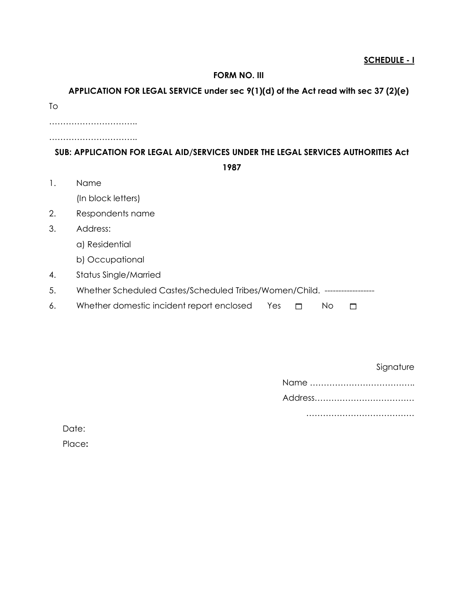#### FORM NO. III

#### APPLICATION FOR LEGAL SERVICE under sec 9(1)(d) of the Act read with sec 37 (2)(e)

To

………………………………

…………………………..

#### SUB: APPLICATION FOR LEGAL AID/SERVICES UNDER THE LEGAL SERVICES AUTHORITIES Act

1987

1. Name

(In block letters)

- 2. Respondents name
- 3. Address:
	- a) Residential
	- b) Occupational
- 4. Status Single/Married
- 5. Whether Scheduled Castes/Scheduled Tribes/Women/Child. ------------------
- 6. Whether domestic incident report enclosed Yes  $\Box$  No  $\Box$

Signature

Name ………………………………..

Address………………………………

…………………………………

Date:

Place: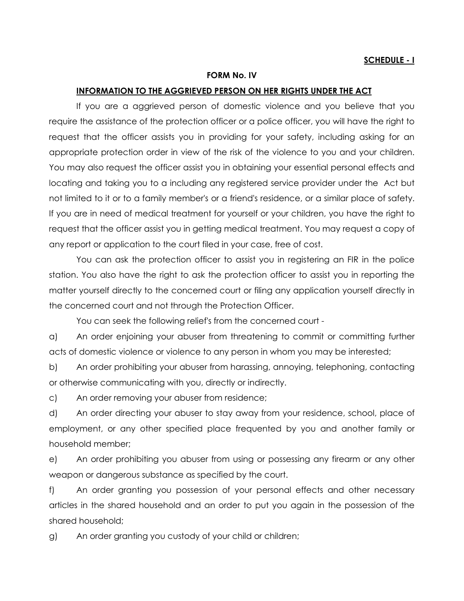#### FORM No. IV

#### INFORMATION TO THE AGGRIEVED PERSON ON HER RIGHTS UNDER THE ACT

 If you are a aggrieved person of domestic violence and you believe that you require the assistance of the protection officer or a police officer, you will have the right to request that the officer assists you in providing for your safety, including asking for an appropriate protection order in view of the risk of the violence to you and your children. You may also request the officer assist you in obtaining your essential personal effects and locating and taking you to a including any registered service provider under the Act but not limited to it or to a family member's or a friend's residence, or a similar place of safety. If you are in need of medical treatment for yourself or your children, you have the right to request that the officer assist you in getting medical treatment. You may request a copy of any report or application to the court filed in your case, free of cost.

 You can ask the protection officer to assist you in registering an FIR in the police station. You also have the right to ask the protection officer to assist you in reporting the matter yourself directly to the concerned court or filing any application yourself directly in the concerned court and not through the Protection Officer.

You can seek the following relief's from the concerned court -

a) An order enjoining your abuser from threatening to commit or committing further acts of domestic violence or violence to any person in whom you may be interested;

b) An order prohibiting your abuser from harassing, annoying, telephoning, contacting or otherwise communicating with you, directly or indirectly.

c) An order removing your abuser from residence;

d) An order directing your abuser to stay away from your residence, school, place of employment, or any other specified place frequented by you and another family or household member;

e) An order prohibiting you abuser from using or possessing any firearm or any other weapon or dangerous substance as specified by the court.

f) An order granting you possession of your personal effects and other necessary articles in the shared household and an order to put you again in the possession of the shared household;

g) An order granting you custody of your child or children;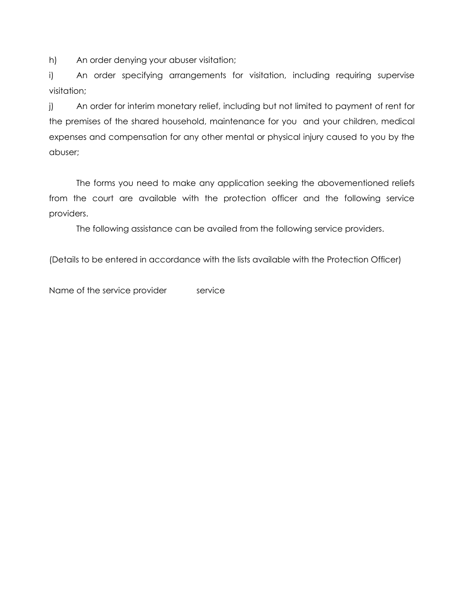h) An order denying your abuser visitation;

i) An order specifying arrangements for visitation, including requiring supervise visitation;

j) An order for interim monetary relief, including but not limited to payment of rent for the premises of the shared household, maintenance for you and your children, medical expenses and compensation for any other mental or physical injury caused to you by the abuser;

 The forms you need to make any application seeking the abovementioned reliefs from the court are available with the protection officer and the following service providers.

The following assistance can be availed from the following service providers.

(Details to be entered in accordance with the lists available with the Protection Officer)

Name of the service provider service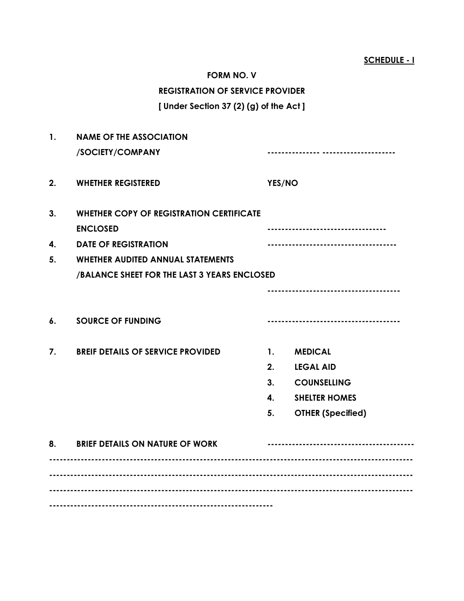| <b>FORM NO. V</b>                       |  |  |  |  |
|-----------------------------------------|--|--|--|--|
| <b>REGISTRATION OF SERVICE PROVIDER</b> |  |  |  |  |
| [ Under Section 37 (2) (g) of the Act ] |  |  |  |  |

| $\mathbf{1}$ . | <b>NAME OF THE ASSOCIATION</b>                                                                    |                |                          |  |  |  |  |
|----------------|---------------------------------------------------------------------------------------------------|----------------|--------------------------|--|--|--|--|
|                | /SOCIETY/COMPANY                                                                                  |                |                          |  |  |  |  |
| 2.             | <b>WHETHER REGISTERED</b>                                                                         | YES/NO         |                          |  |  |  |  |
| 3.<br>4.       | <b>WHETHER COPY OF REGISTRATION CERTIFICATE</b><br><b>ENCLOSED</b><br><b>DATE OF REGISTRATION</b> |                |                          |  |  |  |  |
| 5.             | <b>WHETHER AUDITED ANNUAL STATEMENTS</b><br>/BALANCE SHEET FOR THE LAST 3 YEARS ENCLOSED          |                |                          |  |  |  |  |
|                |                                                                                                   |                |                          |  |  |  |  |
| 6.             | <b>SOURCE OF FUNDING</b>                                                                          |                |                          |  |  |  |  |
| 7.             | <b>BREIF DETAILS OF SERVICE PROVIDED</b>                                                          | $\mathbf{1}$ . | <b>MEDICAL</b>           |  |  |  |  |
|                |                                                                                                   | 2.             | <b>LEGAL AID</b>         |  |  |  |  |
|                |                                                                                                   | 3.             | <b>COUNSELLING</b>       |  |  |  |  |
|                |                                                                                                   | $\mathbf{4}$   | <b>SHELTER HOMES</b>     |  |  |  |  |
|                |                                                                                                   | 5.             | <b>OTHER (Specified)</b> |  |  |  |  |
|                | 8. BRIEF DETAILS ON NATURE OF WORK                                                                |                |                          |  |  |  |  |
|                |                                                                                                   |                |                          |  |  |  |  |